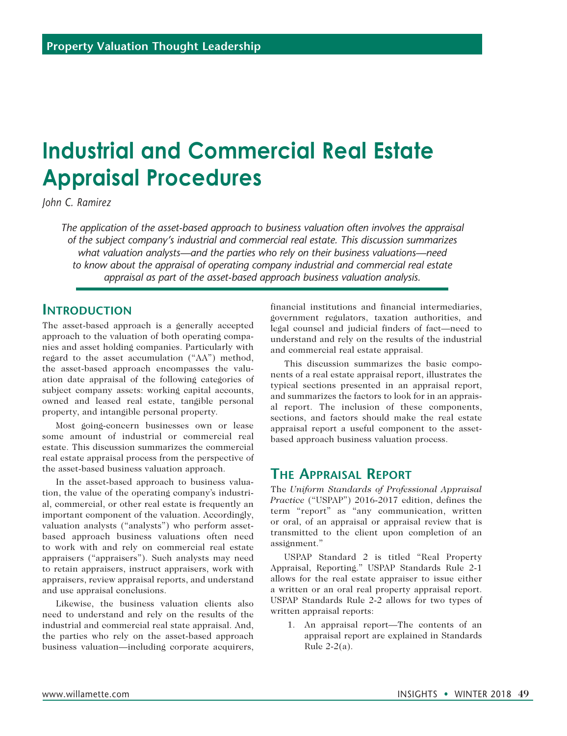# **Industrial and Commercial Real Estate Appraisal Procedures**

*John C. Ramirez*

*The application of the asset-based approach to business valuation often involves the appraisal of the subject company's industrial and commercial real estate. This discussion summarizes what valuation analysts—and the parties who rely on their business valuations—need to know about the appraisal of operating company industrial and commercial real estate appraisal as part of the asset-based approach business valuation analysis.*

### **Introduction**

The asset-based approach is a generally accepted approach to the valuation of both operating companies and asset holding companies. Particularly with regard to the asset accumulation ("AA") method, the asset-based approach encompasses the valuation date appraisal of the following categories of subject company assets: working capital accounts, owned and leased real estate, tangible personal property, and intangible personal property.

Most going-concern businesses own or lease some amount of industrial or commercial real estate. This discussion summarizes the commercial real estate appraisal process from the perspective of the asset-based business valuation approach.

In the asset-based approach to business valuation, the value of the operating company's industrial, commercial, or other real estate is frequently an important component of the valuation. Accordingly, valuation analysts ("analysts") who perform assetbased approach business valuations often need to work with and rely on commercial real estate appraisers ("appraisers"). Such analysts may need to retain appraisers, instruct appraisers, work with appraisers, review appraisal reports, and understand and use appraisal conclusions.

Likewise, the business valuation clients also need to understand and rely on the results of the industrial and commercial real state appraisal. And, the parties who rely on the asset-based approach business valuation—including corporate acquirers, financial institutions and financial intermediaries, government regulators, taxation authorities, and legal counsel and judicial finders of fact—need to understand and rely on the results of the industrial and commercial real estate appraisal.

This discussion summarizes the basic components of a real estate appraisal report, illustrates the typical sections presented in an appraisal report, and summarizes the factors to look for in an appraisal report. The inclusion of these components, sections, and factors should make the real estate appraisal report a useful component to the assetbased approach business valuation process.

## **The Appraisal Report**

The *Uniform Standards of Professional Appraisal Practice* ("USPAP") 2016-2017 edition, defines the term "report" as "any communication, written or oral, of an appraisal or appraisal review that is transmitted to the client upon completion of an assignment."

USPAP Standard 2 is titled "Real Property Appraisal, Reporting." USPAP Standards Rule 2-1 allows for the real estate appraiser to issue either a written or an oral real property appraisal report. USPAP Standards Rule 2-2 allows for two types of written appraisal reports:

1. An appraisal report—The contents of an appraisal report are explained in Standards Rule 2-2(a).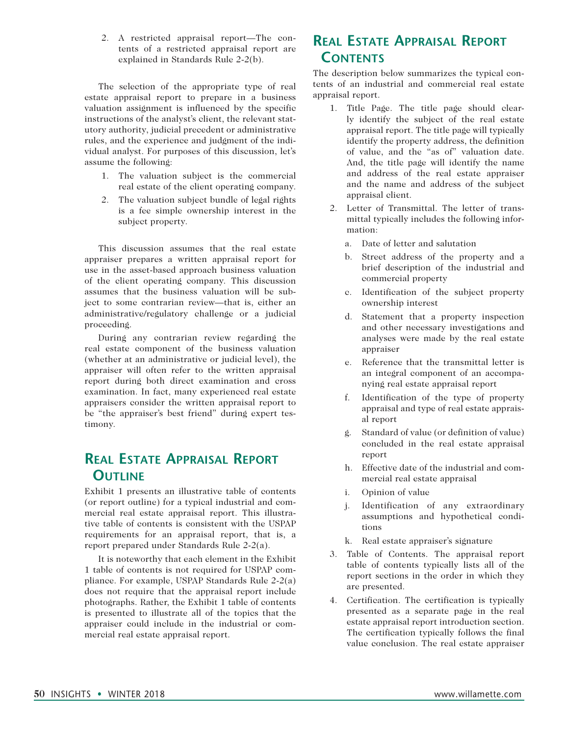2. A restricted appraisal report—The contents of a restricted appraisal report are explained in Standards Rule 2-2(b).

The selection of the appropriate type of real estate appraisal report to prepare in a business valuation assignment is influenced by the specific instructions of the analyst's client, the relevant statutory authority, judicial precedent or administrative rules, and the experience and judgment of the individual analyst. For purposes of this discussion, let's assume the following:

- 1. The valuation subject is the commercial real estate of the client operating company.
- 2. The valuation subject bundle of legal rights is a fee simple ownership interest in the subject property.

This discussion assumes that the real estate appraiser prepares a written appraisal report for use in the asset-based approach business valuation of the client operating company. This discussion assumes that the business valuation will be subject to some contrarian review—that is, either an administrative/regulatory challenge or a judicial proceeding.

During any contrarian review regarding the real estate component of the business valuation (whether at an administrative or judicial level), the appraiser will often refer to the written appraisal report during both direct examination and cross examination. In fact, many experienced real estate appraisers consider the written appraisal report to be "the appraiser's best friend" during expert testimony.

# **Real Estate Appraisal Report Outline**

Exhibit 1 presents an illustrative table of contents (or report outline) for a typical industrial and commercial real estate appraisal report. This illustrative table of contents is consistent with the USPAP requirements for an appraisal report, that is, a report prepared under Standards Rule 2-2(a).

It is noteworthy that each element in the Exhibit 1 table of contents is not required for USPAP compliance. For example, USPAP Standards Rule 2-2(a) does not require that the appraisal report include photographs. Rather, the Exhibit 1 table of contents is presented to illustrate all of the topics that the appraiser could include in the industrial or commercial real estate appraisal report.

# **Real Estate Appraisal Report Contents**

The description below summarizes the typical contents of an industrial and commercial real estate appraisal report.

- 1. Title Page. The title page should clearly identify the subject of the real estate appraisal report. The title page will typically identify the property address, the definition of value, and the "as of" valuation date. And, the title page will identify the name and address of the real estate appraiser and the name and address of the subject appraisal client.
- 2. Letter of Transmittal. The letter of transmittal typically includes the following information:
	- a. Date of letter and salutation
	- b. Street address of the property and a brief description of the industrial and commercial property
	- c. Identification of the subject property ownership interest
	- d. Statement that a property inspection and other necessary investigations and analyses were made by the real estate appraiser
	- e. Reference that the transmittal letter is an integral component of an accompanying real estate appraisal report
	- f. Identification of the type of property appraisal and type of real estate appraisal report
	- g. Standard of value (or definition of value) concluded in the real estate appraisal report
	- h. Effective date of the industrial and commercial real estate appraisal
	- i. Opinion of value
	- j. Identification of any extraordinary assumptions and hypothetical conditions
	- k. Real estate appraiser's signature
- 3. Table of Contents. The appraisal report table of contents typically lists all of the report sections in the order in which they are presented.
- 4. Certification. The certification is typically presented as a separate page in the real estate appraisal report introduction section. The certification typically follows the final value conclusion. The real estate appraiser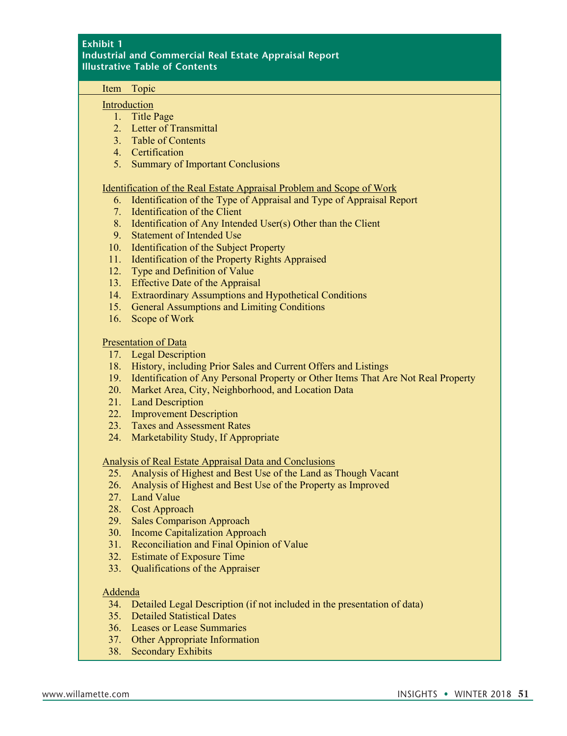#### **Exhibit 1 Industrial and Commercial Real Estate Appraisal Report Illustrative Table of Contents**

#### Item Topic

#### Introduction

- 1. Title Page
- 2. Letter of Transmittal
- 3. Table of Contents
- 4. Certification
- 5. Summary of Important Conclusions

#### Identification of the Real Estate Appraisal Problem and Scope of Work

- 6. Identification of the Type of Appraisal and Type of Appraisal Report
- 7. Identification of the Client
- 8. Identification of Any Intended User(s) Other than the Client
- 9. Statement of Intended Use
- 10. Identification of the Subject Property
- 11. Identification of the Property Rights Appraised
- 12. Type and Definition of Value
- 13. Effective Date of the Appraisal
- 14. Extraordinary Assumptions and Hypothetical Conditions
- 15. General Assumptions and Limiting Conditions
- 16. Scope of Work

#### Presentation of Data

- 17. Legal Description
- 18. History, including Prior Sales and Current Offers and Listings
- 19. Identification of Any Personal Property or Other Items That Are Not Real Property
- 20. Market Area, City, Neighborhood, and Location Data
- 21. Land Description
- 22. Improvement Description
- 23. Taxes and Assessment Rates
- 24. Marketability Study, If Appropriate

#### Analysis of Real Estate Appraisal Data and Conclusions

- 25. Analysis of Highest and Best Use of the Land as Though Vacant
- 26. Analysis of Highest and Best Use of the Property as Improved
- 27. Land Value
- 28. Cost Approach
- 29. Sales Comparison Approach
- 30. Income Capitalization Approach
- 31. Reconciliation and Final Opinion of Value
- 32. Estimate of Exposure Time
- 33. Qualifications of the Appraiser

#### Addenda

- 34. Detailed Legal Description (if not included in the presentation of data)
- 35. Detailed Statistical Dates
- 36. Leases or Lease Summaries
- 37. Other Appropriate Information
- 38. Secondary Exhibits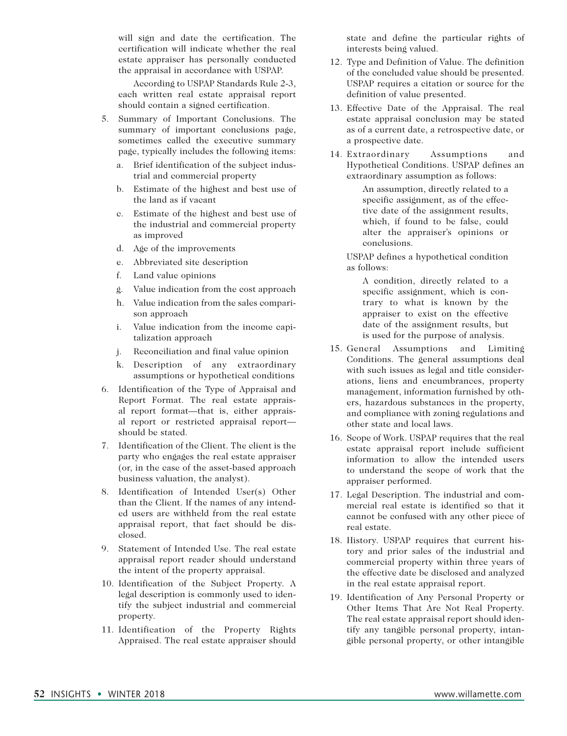will sign and date the certification. The certification will indicate whether the real estate appraiser has personally conducted the appraisal in accordance with USPAP.

 According to USPAP Standards Rule 2-3, each written real estate appraisal report should contain a signed certification.

- 5. Summary of Important Conclusions. The summary of important conclusions page, sometimes called the executive summary page, typically includes the following items:
	- a. Brief identification of the subject industrial and commercial property
	- b. Estimate of the highest and best use of the land as if vacant
	- c. Estimate of the highest and best use of the industrial and commercial property as improved
	- d. Age of the improvements
	- e. Abbreviated site description
	- f. Land value opinions
	- g. Value indication from the cost approach
	- h. Value indication from the sales comparison approach
	- i. Value indication from the income capitalization approach
	- j. Reconciliation and final value opinion
	- k. Description of any extraordinary assumptions or hypothetical conditions
- 6. Identification of the Type of Appraisal and Report Format. The real estate appraisal report format—that is, either appraisal report or restricted appraisal report should be stated.
- 7. Identification of the Client. The client is the party who engages the real estate appraiser (or, in the case of the asset-based approach business valuation, the analyst).
- 8. Identification of Intended User(s) Other than the Client. If the names of any intended users are withheld from the real estate appraisal report, that fact should be disclosed.
- 9. Statement of Intended Use. The real estate appraisal report reader should understand the intent of the property appraisal.
- 10. Identification of the Subject Property. A legal description is commonly used to identify the subject industrial and commercial property.
- 11. Identification of the Property Rights Appraised. The real estate appraiser should

state and define the particular rights of interests being valued.

- 12. Type and Definition of Value. The definition of the concluded value should be presented. USPAP requires a citation or source for the definition of value presented.
- 13. Effective Date of the Appraisal. The real estate appraisal conclusion may be stated as of a current date, a retrospective date, or a prospective date.
- 14. Extraordinary Assumptions and Hypothetical Conditions. USPAP defines an extraordinary assumption as follows:

An assumption, directly related to a specific assignment, as of the effective date of the assignment results, which, if found to be false, could alter the appraiser's opinions or conclusions.

USPAP defines a hypothetical condition as follows:

A condition, directly related to a specific assignment, which is contrary to what is known by the appraiser to exist on the effective date of the assignment results, but is used for the purpose of analysis.

- 15. General Assumptions and Limiting Conditions. The general assumptions deal with such issues as legal and title considerations, liens and encumbrances, property management, information furnished by others, hazardous substances in the property, and compliance with zoning regulations and other state and local laws.
- 16. Scope of Work. USPAP requires that the real estate appraisal report include sufficient information to allow the intended users to understand the scope of work that the appraiser performed.
- 17. Legal Description. The industrial and commercial real estate is identified so that it cannot be confused with any other piece of real estate.
- 18. History. USPAP requires that current history and prior sales of the industrial and commercial property within three years of the effective date be disclosed and analyzed in the real estate appraisal report.
- 19. Identification of Any Personal Property or Other Items That Are Not Real Property. The real estate appraisal report should identify any tangible personal property, intangible personal property, or other intangible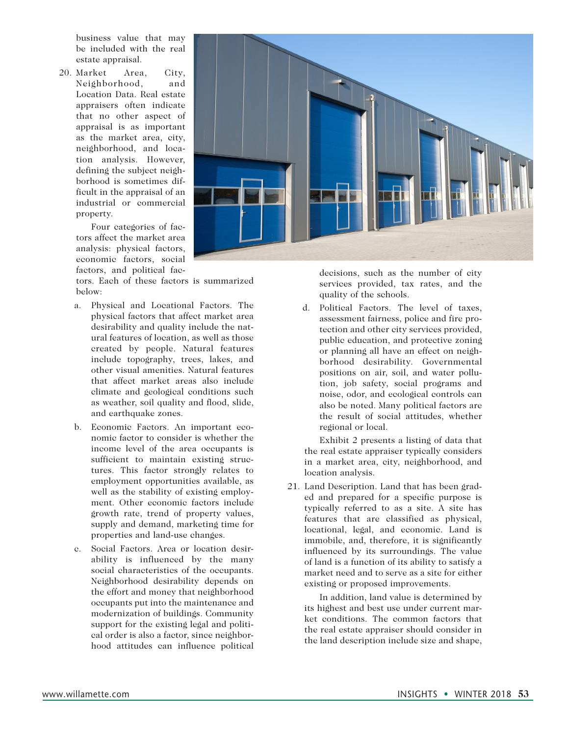business value that may be included with the real estate appraisal.

20. Market Area, City, Neighborhood, and Location Data. Real estate appraisers often indicate that no other aspect of appraisal is as important as the market area, city, neighborhood, and location analysis. However, defining the subject neighborhood is sometimes difficult in the appraisal of an industrial or commercial property.

> Four categories of factors affect the market area analysis: physical factors, economic factors, social factors, and political fac-

tors. Each of these factors is summarized below:

- a. Physical and Locational Factors. The physical factors that affect market area desirability and quality include the natural features of location, as well as those created by people. Natural features include topography, trees, lakes, and other visual amenities. Natural features that affect market areas also include climate and geological conditions such as weather, soil quality and flood, slide, and earthquake zones.
- b. Economic Factors. An important economic factor to consider is whether the income level of the area occupants is sufficient to maintain existing structures. This factor strongly relates to employment opportunities available, as well as the stability of existing employment. Other economic factors include growth rate, trend of property values, supply and demand, marketing time for properties and land-use changes.
- c. Social Factors. Area or location desirability is influenced by the many social characteristics of the occupants. Neighborhood desirability depends on the effort and money that neighborhood occupants put into the maintenance and modernization of buildings. Community support for the existing legal and political order is also a factor, since neighborhood attitudes can influence political



decisions, such as the number of city services provided, tax rates, and the quality of the schools.

d. Political Factors. The level of taxes, assessment fairness, police and fire protection and other city services provided, public education, and protective zoning or planning all have an effect on neighborhood desirability. Governmental positions on air, soil, and water pollution, job safety, social programs and noise, odor, and ecological controls can also be noted. Many political factors are the result of social attitudes, whether regional or local.

Exhibit 2 presents a listing of data that the real estate appraiser typically considers in a market area, city, neighborhood, and location analysis.

21. Land Description. Land that has been graded and prepared for a specific purpose is typically referred to as a site. A site has features that are classified as physical, locational, legal, and economic. Land is immobile, and, therefore, it is significantly influenced by its surroundings. The value of land is a function of its ability to satisfy a market need and to serve as a site for either existing or proposed improvements.

 In addition, land value is determined by its highest and best use under current market conditions. The common factors that the real estate appraiser should consider in the land description include size and shape,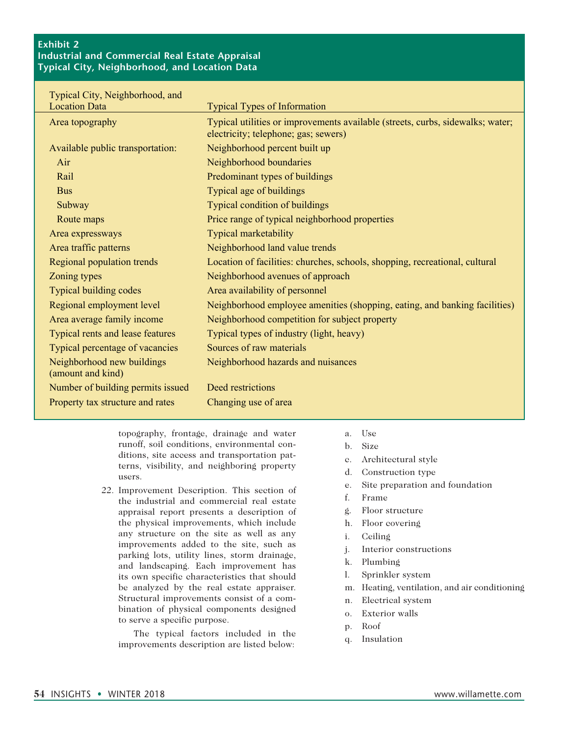#### **Exhibit 2 Industrial and Commercial Real Estate Appraisal Typical City, Neighborhood, and Location Data**

| Typical City, Neighborhood, and                 |                                                                                                                        |
|-------------------------------------------------|------------------------------------------------------------------------------------------------------------------------|
| <b>Location Data</b>                            | <b>Typical Types of Information</b>                                                                                    |
| Area topography                                 | Typical utilities or improvements available (streets, curbs, sidewalks; water;<br>electricity; telephone; gas; sewers) |
| Available public transportation:                | Neighborhood percent built up                                                                                          |
| Air                                             | Neighborhood boundaries                                                                                                |
| Rail                                            | Predominant types of buildings                                                                                         |
| <b>Bus</b>                                      | Typical age of buildings                                                                                               |
| Subway                                          | <b>Typical condition of buildings</b>                                                                                  |
| Route maps                                      | Price range of typical neighborhood properties                                                                         |
| Area expressways                                | <b>Typical marketability</b>                                                                                           |
| Area traffic patterns                           | Neighborhood land value trends                                                                                         |
| <b>Regional population trends</b>               | Location of facilities: churches, schools, shopping, recreational, cultural                                            |
| Zoning types                                    | Neighborhood avenues of approach                                                                                       |
| <b>Typical building codes</b>                   | Area availability of personnel                                                                                         |
| Regional employment level                       | Neighborhood employee amenities (shopping, eating, and banking facilities)                                             |
| Area average family income                      | Neighborhood competition for subject property                                                                          |
| Typical rents and lease features                | Typical types of industry (light, heavy)                                                                               |
| Typical percentage of vacancies                 | Sources of raw materials                                                                                               |
| Neighborhood new buildings<br>(amount and kind) | Neighborhood hazards and nuisances                                                                                     |
| Number of building permits issued               | Deed restrictions                                                                                                      |
| Property tax structure and rates                | Changing use of area                                                                                                   |

topography, frontage, drainage and water runoff, soil conditions, environmental conditions, site access and transportation patterns, visibility, and neighboring property users.

22. Improvement Description. This section of the industrial and commercial real estate appraisal report presents a description of the physical improvements, which include any structure on the site as well as any improvements added to the site, such as parking lots, utility lines, storm drainage, and landscaping. Each improvement has its own specific characteristics that should be analyzed by the real estate appraiser. Structural improvements consist of a combination of physical components designed to serve a specific purpose.

 The typical factors included in the improvements description are listed below:

- a. Use
- b. Size
- c. Architectural style
- d. Construction type
- e. Site preparation and foundation
- f. Frame
- g. Floor structure
- h. Floor covering
- i. Ceiling
- j. Interior constructions
- k. Plumbing
- l. Sprinkler system
- m. Heating, ventilation, and air conditioning
- n. Electrical system
- o. Exterior walls
- p. Roof
- q. Insulation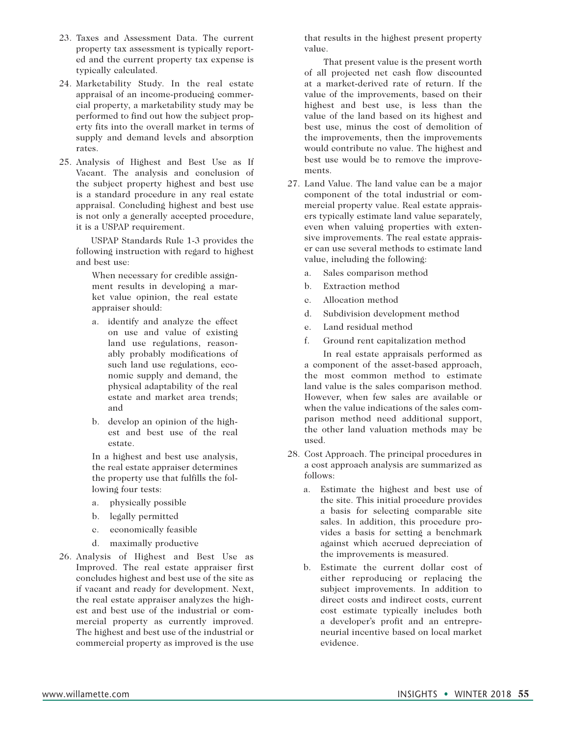- 23. Taxes and Assessment Data. The current property tax assessment is typically reported and the current property tax expense is typically calculated.
- 24. Marketability Study. In the real estate appraisal of an income-producing commercial property, a marketability study may be performed to find out how the subject property fits into the overall market in terms of supply and demand levels and absorption rates.
- 25. Analysis of Highest and Best Use as If Vacant. The analysis and conclusion of the subject property highest and best use is a standard procedure in any real estate appraisal. Concluding highest and best use is not only a generally accepted procedure, it is a USPAP requirement.

 USPAP Standards Rule 1-3 provides the following instruction with regard to highest and best use:

When necessary for credible assignment results in developing a market value opinion, the real estate appraiser should:

- a. identify and analyze the effect on use and value of existing land use regulations, reasonably probably modifications of such land use regulations, economic supply and demand, the physical adaptability of the real estate and market area trends; and
- b. develop an opinion of the highest and best use of the real estate.

In a highest and best use analysis, the real estate appraiser determines the property use that fulfills the following four tests:

- a. physically possible
- b. legally permitted
- c. economically feasible
- d. maximally productive
- 26. Analysis of Highest and Best Use as Improved. The real estate appraiser first concludes highest and best use of the site as if vacant and ready for development. Next, the real estate appraiser analyzes the highest and best use of the industrial or commercial property as currently improved. The highest and best use of the industrial or commercial property as improved is the use

that results in the highest present property value.

 That present value is the present worth of all projected net cash flow discounted at a market-derived rate of return. If the value of the improvements, based on their highest and best use, is less than the value of the land based on its highest and best use, minus the cost of demolition of the improvements, then the improvements would contribute no value. The highest and best use would be to remove the improvements.

- 27. Land Value. The land value can be a major component of the total industrial or commercial property value. Real estate appraisers typically estimate land value separately, even when valuing properties with extensive improvements. The real estate appraiser can use several methods to estimate land value, including the following:
	- a. Sales comparison method
	- b. Extraction method
	- c. Allocation method
	- d. Subdivision development method
	- e. Land residual method
	- f. Ground rent capitalization method

 In real estate appraisals performed as a component of the asset-based approach, the most common method to estimate land value is the sales comparison method. However, when few sales are available or when the value indications of the sales comparison method need additional support, the other land valuation methods may be used.

- 28. Cost Approach. The principal procedures in a cost approach analysis are summarized as follows:
	- a. Estimate the highest and best use of the site. This initial procedure provides a basis for selecting comparable site sales. In addition, this procedure provides a basis for setting a benchmark against which accrued depreciation of the improvements is measured.
	- b. Estimate the current dollar cost of either reproducing or replacing the subject improvements. In addition to direct costs and indirect costs, current cost estimate typically includes both a developer's profit and an entrepreneurial incentive based on local market evidence.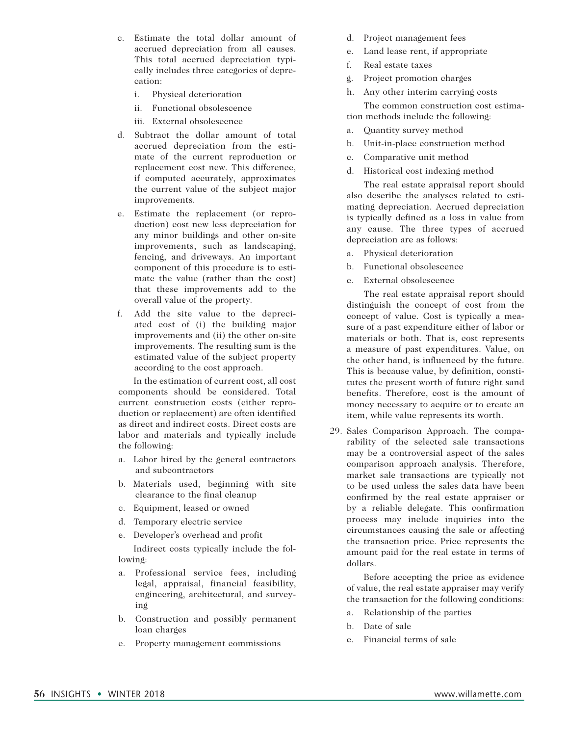- c. Estimate the total dollar amount of accrued depreciation from all causes. This total accrued depreciation typically includes three categories of deprecation:
	- i. Physical deterioration
	- ii. Functional obsolescence
	- iii. External obsolescence
- d. Subtract the dollar amount of total accrued depreciation from the estimate of the current reproduction or replacement cost new. This difference, if computed accurately, approximates the current value of the subject major improvements.
- e. Estimate the replacement (or reproduction) cost new less depreciation for any minor buildings and other on-site improvements, such as landscaping, fencing, and driveways. An important component of this procedure is to estimate the value (rather than the cost) that these improvements add to the overall value of the property.
- f. Add the site value to the depreciated cost of (i) the building major improvements and (ii) the other on-site improvements. The resulting sum is the estimated value of the subject property according to the cost approach.

In the estimation of current cost, all cost components should be considered. Total current construction costs (either reproduction or replacement) are often identified as direct and indirect costs. Direct costs are labor and materials and typically include the following:

- a. Labor hired by the general contractors and subcontractors
- b. Materials used, beginning with site clearance to the final cleanup
- c. Equipment, leased or owned
- d. Temporary electric service
- e. Developer's overhead and profit Indirect costs typically include the following:
- a. Professional service fees, including legal, appraisal, financial feasibility, engineering, architectural, and surveying
- b. Construction and possibly permanent loan charges
- c. Property management commissions
- d. Project management fees
- e. Land lease rent, if appropriate
- f. Real estate taxes
- g. Project promotion charges
- h. Any other interim carrying costs

The common construction cost estimation methods include the following:

- a. Quantity survey method
- b. Unit-in-place construction method
- c. Comparative unit method
- d. Historical cost indexing method

The real estate appraisal report should also describe the analyses related to estimating depreciation. Accrued depreciation is typically defined as a loss in value from any cause. The three types of accrued depreciation are as follows:

- a. Physical deterioration
- b. Functional obsolescence
- c. External obsolescence

The real estate appraisal report should distinguish the concept of cost from the concept of value. Cost is typically a measure of a past expenditure either of labor or materials or both. That is, cost represents a measure of past expenditures. Value, on the other hand, is influenced by the future. This is because value, by definition, constitutes the present worth of future right sand benefits. Therefore, cost is the amount of money necessary to acquire or to create an item, while value represents its worth.

29. Sales Comparison Approach. The comparability of the selected sale transactions may be a controversial aspect of the sales comparison approach analysis. Therefore, market sale transactions are typically not to be used unless the sales data have been confirmed by the real estate appraiser or by a reliable delegate. This confirmation process may include inquiries into the circumstances causing the sale or affecting the transaction price. Price represents the amount paid for the real estate in terms of dollars.

 Before accepting the price as evidence of value, the real estate appraiser may verify the transaction for the following conditions:

- a. Relationship of the parties
- b. Date of sale
- c. Financial terms of sale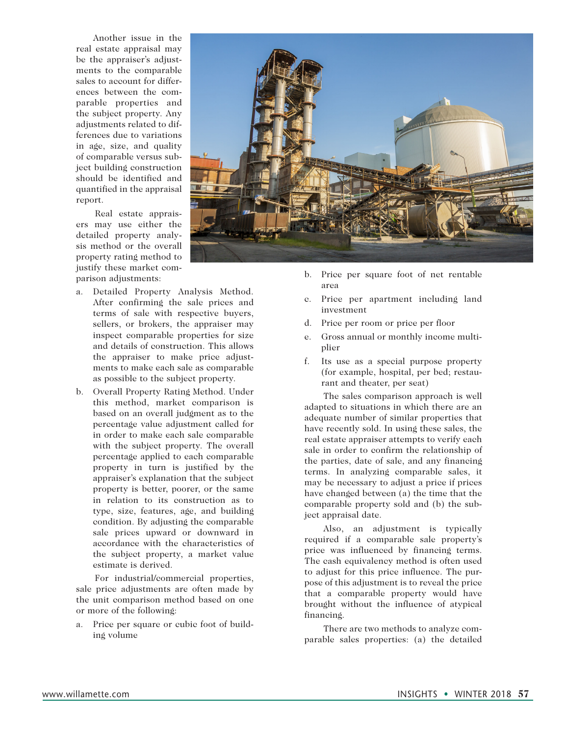Another issue in the real estate appraisal may be the appraiser's adjustments to the comparable sales to account for differences between the comparable properties and the subject property. Any adjustments related to differences due to variations in age, size, and quality of comparable versus subject building construction should be identified and quantified in the appraisal report.

 Real estate appraisers may use either the detailed property analysis method or the overall property rating method to justify these market comparison adjustments:

- a. Detailed Property Analysis Method. After confirming the sale prices and terms of sale with respective buyers, sellers, or brokers, the appraiser may inspect comparable properties for size and details of construction. This allows the appraiser to make price adjustments to make each sale as comparable as possible to the subject property.
- b. Overall Property Rating Method. Under this method, market comparison is based on an overall judgment as to the percentage value adjustment called for in order to make each sale comparable with the subject property. The overall percentage applied to each comparable property in turn is justified by the appraiser's explanation that the subject property is better, poorer, or the same in relation to its construction as to type, size, features, age, and building condition. By adjusting the comparable sale prices upward or downward in accordance with the characteristics of the subject property, a market value estimate is derived.

 For industrial/commercial properties, sale price adjustments are often made by the unit comparison method based on one or more of the following:

a. Price per square or cubic foot of building volume



- b. Price per square foot of net rentable area
- c. Price per apartment including land investment
- d. Price per room or price per floor
- e. Gross annual or monthly income multiplier
- f. Its use as a special purpose property (for example, hospital, per bed; restaurant and theater, per seat)

 The sales comparison approach is well adapted to situations in which there are an adequate number of similar properties that have recently sold. In using these sales, the real estate appraiser attempts to verify each sale in order to confirm the relationship of the parties, date of sale, and any financing terms. In analyzing comparable sales, it may be necessary to adjust a price if prices have changed between (a) the time that the comparable property sold and (b) the subject appraisal date.

 Also, an adjustment is typically required if a comparable sale property's price was influenced by financing terms. The cash equivalency method is often used to adjust for this price influence. The purpose of this adjustment is to reveal the price that a comparable property would have brought without the influence of atypical financing.

 There are two methods to analyze comparable sales properties: (a) the detailed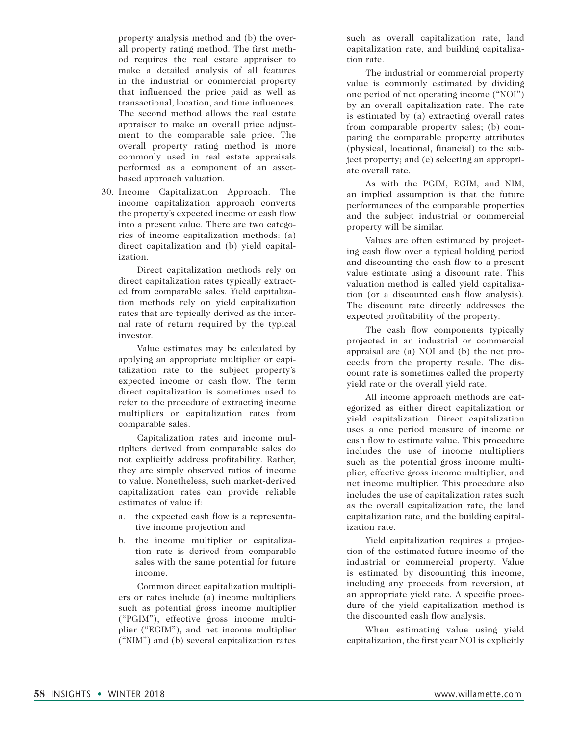property analysis method and (b) the overall property rating method. The first method requires the real estate appraiser to make a detailed analysis of all features in the industrial or commercial property that influenced the price paid as well as transactional, location, and time influences. The second method allows the real estate appraiser to make an overall price adjustment to the comparable sale price. The overall property rating method is more commonly used in real estate appraisals performed as a component of an assetbased approach valuation.

30. Income Capitalization Approach. The income capitalization approach converts the property's expected income or cash flow into a present value. There are two categories of income capitalization methods: (a) direct capitalization and (b) yield capitalization.

 Direct capitalization methods rely on direct capitalization rates typically extracted from comparable sales. Yield capitalization methods rely on yield capitalization rates that are typically derived as the internal rate of return required by the typical investor.

 Value estimates may be calculated by applying an appropriate multiplier or capitalization rate to the subject property's expected income or cash flow. The term direct capitalization is sometimes used to refer to the procedure of extracting income multipliers or capitalization rates from comparable sales.

 Capitalization rates and income multipliers derived from comparable sales do not explicitly address profitability. Rather, they are simply observed ratios of income to value. Nonetheless, such market-derived capitalization rates can provide reliable estimates of value if:

- a. the expected cash flow is a representative income projection and
- b. the income multiplier or capitalization rate is derived from comparable sales with the same potential for future income.

 Common direct capitalization multipliers or rates include (a) income multipliers such as potential gross income multiplier ("PGIM"), effective gross income multiplier ("EGIM"), and net income multiplier ("NIM") and (b) several capitalization rates such as overall capitalization rate, land capitalization rate, and building capitalization rate.

 The industrial or commercial property value is commonly estimated by dividing one period of net operating income ("NOI") by an overall capitalization rate. The rate is estimated by (a) extracting overall rates from comparable property sales; (b) comparing the comparable property attributes (physical, locational, financial) to the subject property; and (c) selecting an appropriate overall rate.

 As with the PGIM, EGIM, and NIM, an implied assumption is that the future performances of the comparable properties and the subject industrial or commercial property will be similar.

 Values are often estimated by projecting cash flow over a typical holding period and discounting the cash flow to a present value estimate using a discount rate. This valuation method is called yield capitalization (or a discounted cash flow analysis). The discount rate directly addresses the expected profitability of the property.

 The cash flow components typically projected in an industrial or commercial appraisal are (a) NOI and (b) the net proceeds from the property resale. The discount rate is sometimes called the property yield rate or the overall yield rate.

 All income approach methods are categorized as either direct capitalization or yield capitalization. Direct capitalization uses a one period measure of income or cash flow to estimate value. This procedure includes the use of income multipliers such as the potential gross income multiplier, effective gross income multiplier, and net income multiplier. This procedure also includes the use of capitalization rates such as the overall capitalization rate, the land capitalization rate, and the building capitalization rate.

 Yield capitalization requires a projection of the estimated future income of the industrial or commercial property. Value is estimated by discounting this income, including any proceeds from reversion, at an appropriate yield rate. A specific procedure of the yield capitalization method is the discounted cash flow analysis.

 When estimating value using yield capitalization, the first year NOI is explicitly